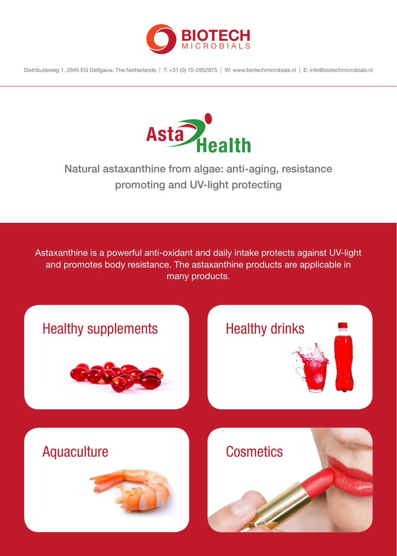

Distributieweg 1, 2645 EG Delfgauw, The Netherlands | T: +31 (0) 15-2852875 | W: www.biotechmicrobials.nl | E: info@biotechmicrobials.nl



### Natural astaxanthine from algae: anti-aging, resistance promoting and UV-light protecting

Astaxanthine is a powerful anti-oxidant and daily intake protects against UV-light and promotes body resistance. The astaxanthine products are applicable in many products.